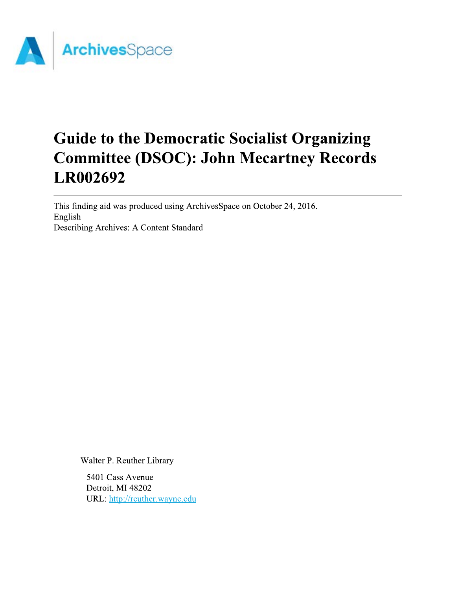

# **Guide to the Democratic Socialist Organizing Committee (DSOC): John Mecartney Records LR002692**

This finding aid was produced using ArchivesSpace on October 24, 2016. English Describing Archives: A Content Standard

Walter P. Reuther Library

5401 Cass Avenue Detroit, MI 48202 URL: http://reuther.wayne.edu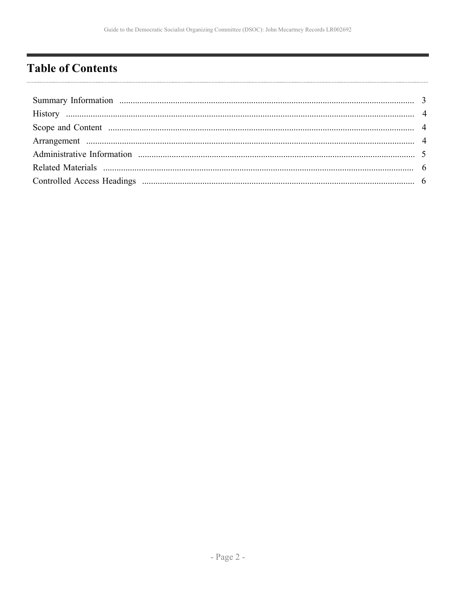# <span id="page-1-0"></span>**Table of Contents**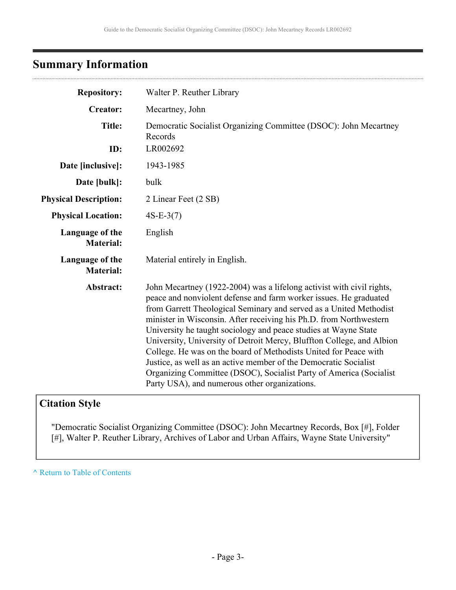# <span id="page-2-0"></span>**Summary Information**

| <b>Repository:</b>                  | Walter P. Reuther Library                                                                                                                                                                                                                                                                                                                                                                                                                                                                                                                                                                                                                                                                          |
|-------------------------------------|----------------------------------------------------------------------------------------------------------------------------------------------------------------------------------------------------------------------------------------------------------------------------------------------------------------------------------------------------------------------------------------------------------------------------------------------------------------------------------------------------------------------------------------------------------------------------------------------------------------------------------------------------------------------------------------------------|
| <b>Creator:</b>                     | Mecartney, John                                                                                                                                                                                                                                                                                                                                                                                                                                                                                                                                                                                                                                                                                    |
| <b>Title:</b>                       | Democratic Socialist Organizing Committee (DSOC): John Mecartney<br>Records                                                                                                                                                                                                                                                                                                                                                                                                                                                                                                                                                                                                                        |
| ID:                                 | LR002692                                                                                                                                                                                                                                                                                                                                                                                                                                                                                                                                                                                                                                                                                           |
| Date [inclusive]:                   | 1943-1985                                                                                                                                                                                                                                                                                                                                                                                                                                                                                                                                                                                                                                                                                          |
| Date [bulk]:                        | bulk                                                                                                                                                                                                                                                                                                                                                                                                                                                                                                                                                                                                                                                                                               |
| <b>Physical Description:</b>        | 2 Linear Feet (2 SB)                                                                                                                                                                                                                                                                                                                                                                                                                                                                                                                                                                                                                                                                               |
| <b>Physical Location:</b>           | $4S-E-3(7)$                                                                                                                                                                                                                                                                                                                                                                                                                                                                                                                                                                                                                                                                                        |
| Language of the<br><b>Material:</b> | English                                                                                                                                                                                                                                                                                                                                                                                                                                                                                                                                                                                                                                                                                            |
| Language of the<br><b>Material:</b> | Material entirely in English.                                                                                                                                                                                                                                                                                                                                                                                                                                                                                                                                                                                                                                                                      |
| Abstract:                           | John Mecartney (1922-2004) was a lifelong activist with civil rights,<br>peace and nonviolent defense and farm worker issues. He graduated<br>from Garrett Theological Seminary and served as a United Methodist<br>minister in Wisconsin. After receiving his Ph.D. from Northwestern<br>University he taught sociology and peace studies at Wayne State<br>University, University of Detroit Mercy, Bluffton College, and Albion<br>College. He was on the board of Methodists United for Peace with<br>Justice, as well as an active member of the Democratic Socialist<br>Organizing Committee (DSOC), Socialist Party of America (Socialist)<br>Party USA), and numerous other organizations. |

# **Citation Style**

"Democratic Socialist Organizing Committee (DSOC): John Mecartney Records, Box [#], Folder [#], Walter P. Reuther Library, Archives of Labor and Urban Affairs, Wayne State University"

**^** [Return to Table of Contents](#page-1-0)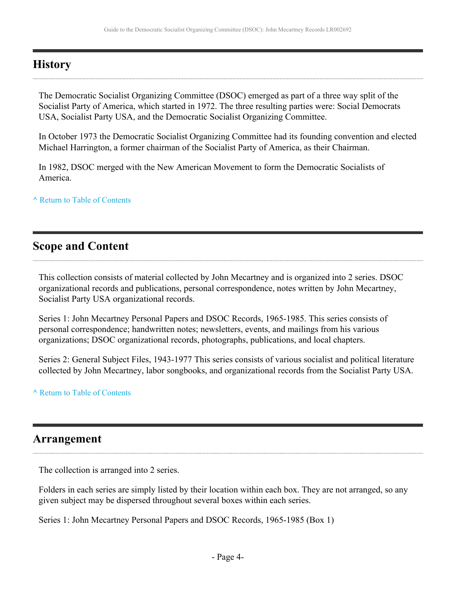### <span id="page-3-0"></span>**History**

The Democratic Socialist Organizing Committee (DSOC) emerged as part of a three way split of the Socialist Party of America, which started in 1972. The three resulting parties were: Social Democrats USA, Socialist Party USA, and the Democratic Socialist Organizing Committee.

In October 1973 the Democratic Socialist Organizing Committee had its founding convention and elected Michael Harrington, a former chairman of the Socialist Party of America, as their Chairman.

In 1982, DSOC merged with the New American Movement to form the Democratic Socialists of America.

**^** [Return to Table of Contents](#page-1-0)

### <span id="page-3-1"></span>**Scope and Content**

This collection consists of material collected by John Mecartney and is organized into 2 series. DSOC organizational records and publications, personal correspondence, notes written by John Mecartney, Socialist Party USA organizational records.

Series 1: John Mecartney Personal Papers and DSOC Records, 1965-1985. This series consists of personal correspondence; handwritten notes; newsletters, events, and mailings from his various organizations; DSOC organizational records, photographs, publications, and local chapters.

Series 2: General Subject Files, 1943-1977 This series consists of various socialist and political literature collected by John Mecartney, labor songbooks, and organizational records from the Socialist Party USA.

#### **^** [Return to Table of Contents](#page-1-0)

### <span id="page-3-2"></span>**Arrangement**

The collection is arranged into 2 series.

Folders in each series are simply listed by their location within each box. They are not arranged, so any given subject may be dispersed throughout several boxes within each series.

Series 1: John Mecartney Personal Papers and DSOC Records, 1965-1985 (Box 1)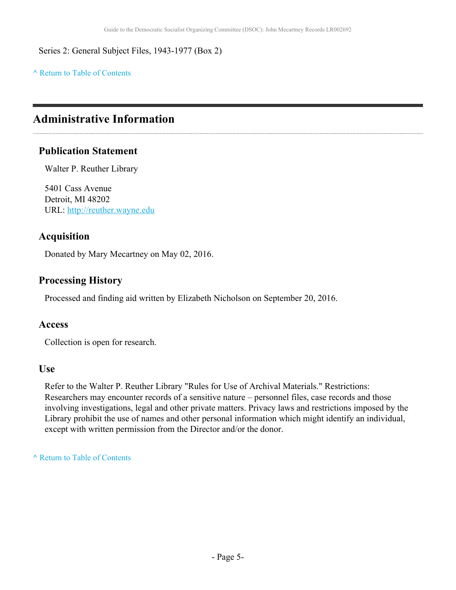Series 2: General Subject Files, 1943-1977 (Box 2)

**^** [Return to Table of Contents](#page-1-0)

# <span id="page-4-0"></span>**Administrative Information**

### **Publication Statement**

Walter P. Reuther Library

5401 Cass Avenue Detroit, MI 48202 URL:<http://reuther.wayne.edu>

### **Acquisition**

Donated by Mary Mecartney on May 02, 2016.

### **Processing History**

Processed and finding aid written by Elizabeth Nicholson on September 20, 2016.

#### **Access**

Collection is open for research.

#### **Use**

Refer to the Walter P. Reuther Library "Rules for Use of Archival Materials." Restrictions: Researchers may encounter records of a sensitive nature – personnel files, case records and those involving investigations, legal and other private matters. Privacy laws and restrictions imposed by the Library prohibit the use of names and other personal information which might identify an individual, except with written permission from the Director and/or the donor.

**^** [Return to Table of Contents](#page-1-0)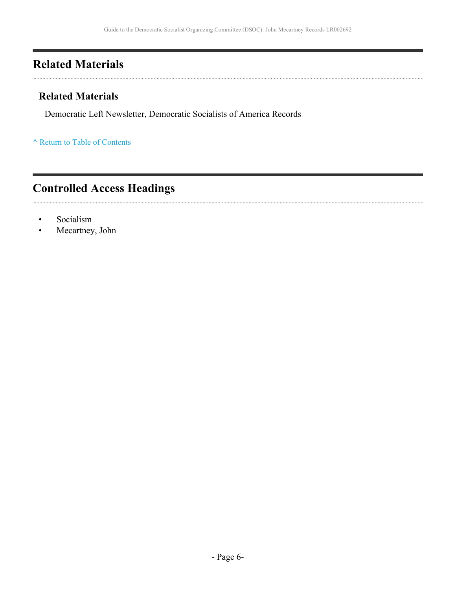# <span id="page-5-0"></span>**Related Materials**

### **Related Materials**

Democratic Left Newsletter, Democratic Socialists of America Records

**^** [Return to Table of Contents](#page-1-0)

# <span id="page-5-1"></span>**Controlled Access Headings**

- Socialism
- Mecartney, John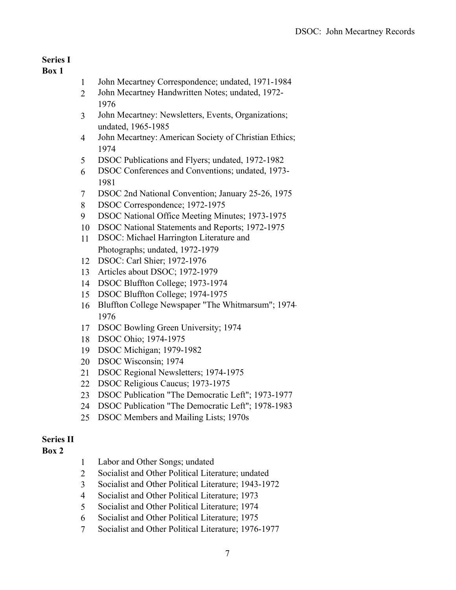### **Series I**

#### **Box 1**

- John Mecartney Correspondence; undated, 1971-1984
- John Mecartney Handwritten Notes; undated, 1972-
- John Mecartney: Newsletters, Events, Organizations; undated, 1965-1985
- John Mecartney: American Society of Christian Ethics;
- DSOC Publications and Flyers; undated, 1972-1982
- DSOC Conferences and Conventions; undated, 1973-
- DSOC 2nd National Convention; January 25-26, 1975
- DSOC Correspondence; 1972-1975
- DSOC National Office Meeting Minutes; 1973-1975
- DSOC National Statements and Reports; 1972-1975
- DSOC: Michael Harrington Literature and Photographs; undated, 1972-1979
- DSOC: Carl Shier; 1972-1976
- Articles about DSOC; 1972-1979
- DSOC Bluffton College; 1973-1974
- DSOC Bluffton College; 1974-1975
- Bluffton College Newspaper "The Whitmarsum"; 1974-
- DSOC Bowling Green University; 1974
- DSOC Ohio; 1974-1975
- DSOC Michigan; 1979-1982
- DSOC Wisconsin; 1974
- DSOC Regional Newsletters; 1974-1975
- DSOC Religious Caucus; 1973-1975
- DSOC Publication "The Democratic Left"; 1973-1977
- DSOC Publication "The Democratic Left"; 1978-1983
- DSOC Members and Mailing Lists; 1970s

#### **Series II**

#### **Box 2**

- Labor and Other Songs; undated
- Socialist and Other Political Literature; undated
- Socialist and Other Political Literature; 1943-1972
- Socialist and Other Political Literature; 1973
- Socialist and Other Political Literature; 1974
- Socialist and Other Political Literature; 1975
- Socialist and Other Political Literature; 1976-1977